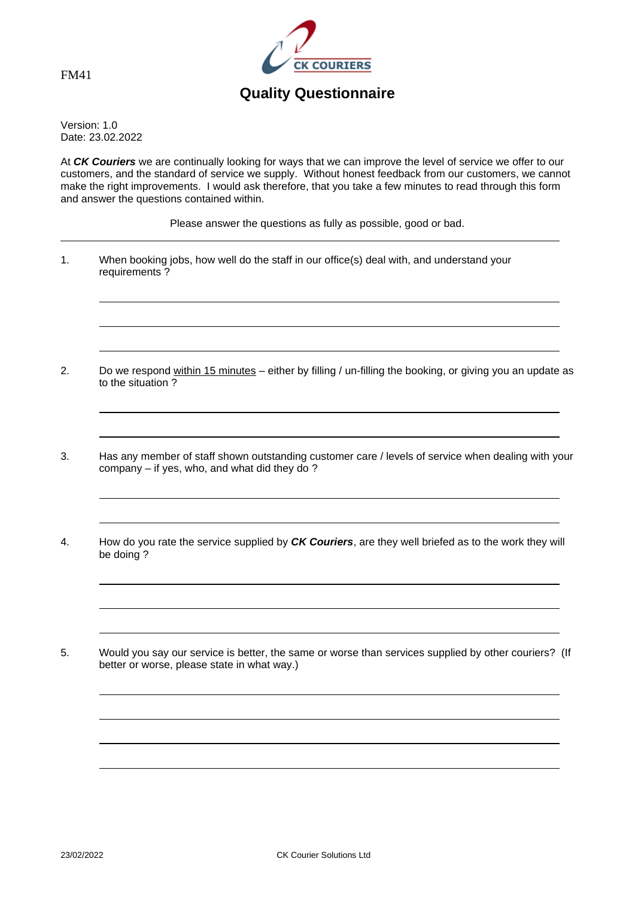



## **Quality Questionnaire**

Version: 1.0 Date: 23.02.2022

At *CK Couriers* we are continually looking for ways that we can improve the level of service we offer to our customers, and the standard of service we supply. Without honest feedback from our customers, we cannot make the right improvements. I would ask therefore, that you take a few minutes to read through this form and answer the questions contained within.

Please answer the questions as fully as possible, good or bad.

- 1. When booking jobs, how well do the staff in our office(s) deal with, and understand your requirements ?
- 2. Do we respond within 15 minutes either by filling / un-filling the booking, or giving you an update as to the situation ?
- 3. Has any member of staff shown outstanding customer care / levels of service when dealing with your company – if yes, who, and what did they do ?
- 4. How do you rate the service supplied by *CK Couriers*, are they well briefed as to the work they will be doing ?
- 5. Would you say our service is better, the same or worse than services supplied by other couriers? (If better or worse, please state in what way.)